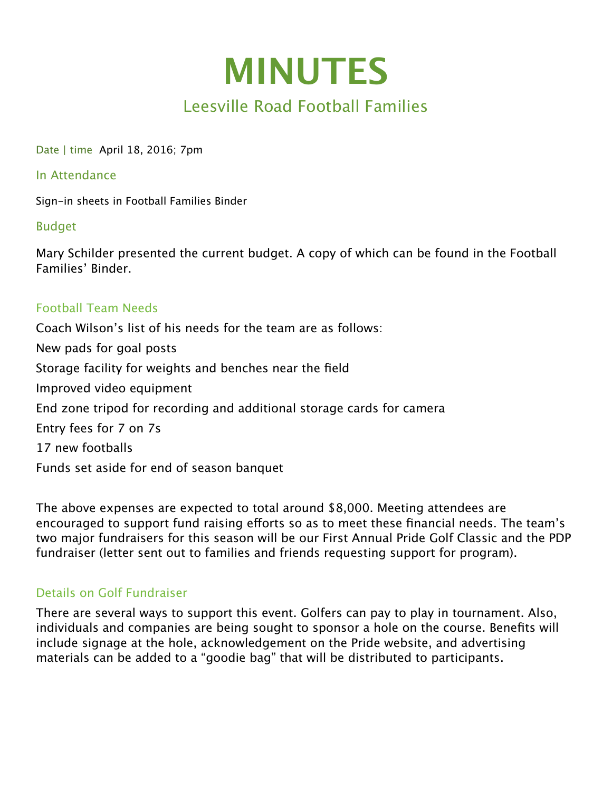

# Leesville Road Football Families

Date | time April 18, 2016; 7pm

#### In Attendance

Sign-in sheets in Football Families Binder

#### Budget

Mary Schilder presented the current budget. A copy of which can be found in the Football Families' Binder.

## Football Team Needs

Coach Wilson's list of his needs for the team are as follows: New pads for goal posts Storage facility for weights and benches near the field Improved video equipment End zone tripod for recording and additional storage cards for camera Entry fees for 7 on 7s 17 new footballs Funds set aside for end of season banquet

The above expenses are expected to total around \$8,000. Meeting attendees are encouraged to support fund raising efforts so as to meet these financial needs. The team's two major fundraisers for this season will be our First Annual Pride Golf Classic and the PDP fundraiser (letter sent out to families and friends requesting support for program).

## Details on Golf Fundraiser

There are several ways to support this event. Golfers can pay to play in tournament. Also, individuals and companies are being sought to sponsor a hole on the course. Benefits will include signage at the hole, acknowledgement on the Pride website, and advertising materials can be added to a "goodie bag" that will be distributed to participants.